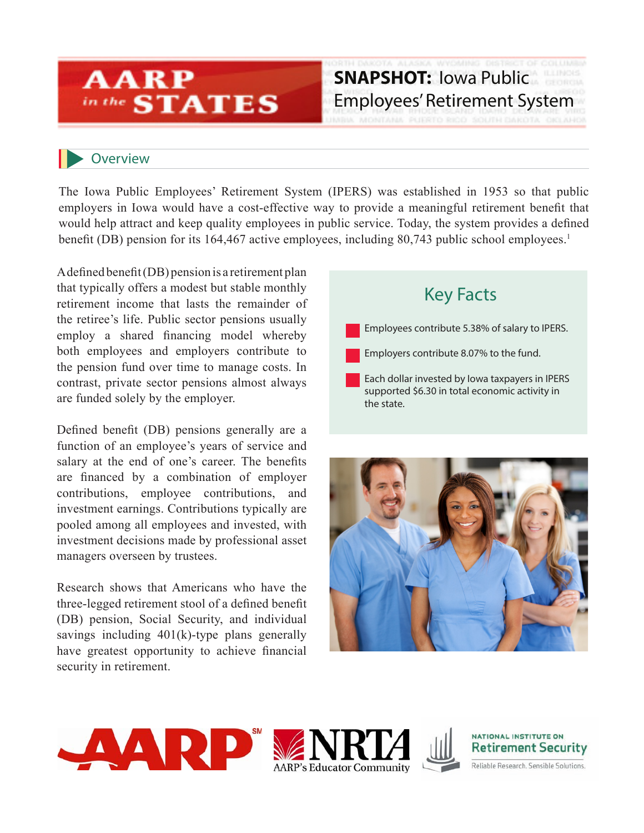## **AARP** in the **STATES**

### **SNAPSHOT:** Iowa Public Employees' Retirement System

### **Overview**

The Iowa Public Employees' Retirement System (IPERS) was established in 1953 so that public employers in Iowa would have a cost-effective way to provide a meaningful retirement benefit that would help attract and keep quality employees in public service. Today, the system provides a defined benefit (DB) pension for its 164,467 active employees, including 80,743 public school employees.<sup>1</sup>

A defined benefit (DB) pension is a retirement plan that typically offers a modest but stable monthly retirement income that lasts the remainder of the retiree's life. Public sector pensions usually employ a shared financing model whereby both employees and employers contribute to the pension fund over time to manage costs. In contrast, private sector pensions almost always are funded solely by the employer.

Defined benefit (DB) pensions generally are a function of an employee's years of service and salary at the end of one's career. The benefits are financed by a combination of employer contributions, employee contributions, and investment earnings. Contributions typically are pooled among all employees and invested, with investment decisions made by professional asset managers overseen by trustees.

Research shows that Americans who have the three-legged retirement stool of a defined benefit (DB) pension, Social Security, and individual savings including 401(k)-type plans generally have greatest opportunity to achieve financial security in retirement.

# Key Facts

Employees contribute 5.38% of salary to IPERS.

Employers contribute 8.07% to the fund.

Each dollar invested by Iowa taxpayers in IPERS supported \$6.30 in total economic activity in the state.







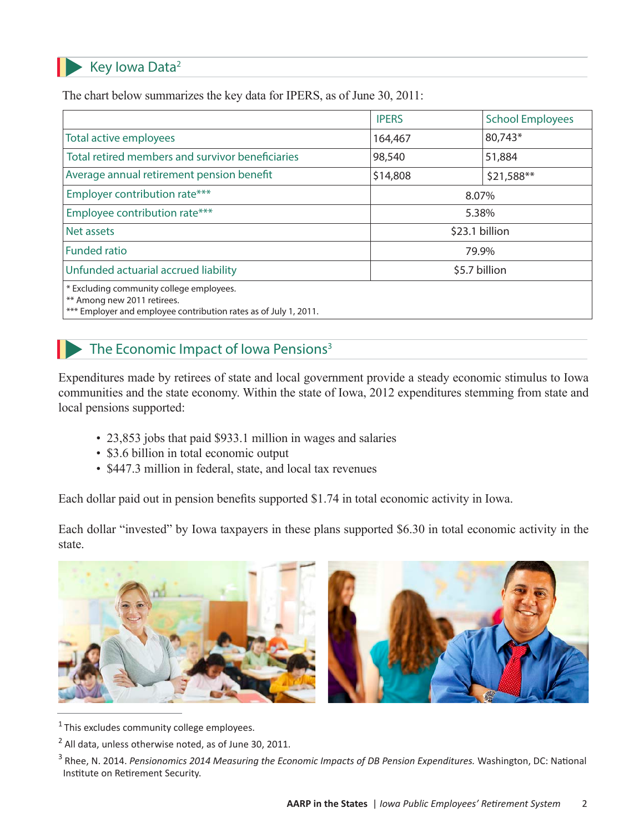#### Key Iowa Data2

The chart below summarizes the key data for IPERS, as of June 30, 2011:

|                                                                                                                                             | <b>IPERS</b>   | <b>School Employees</b> |
|---------------------------------------------------------------------------------------------------------------------------------------------|----------------|-------------------------|
| Total active employees                                                                                                                      | 164,467        | 80,743*                 |
| Total retired members and survivor beneficiaries                                                                                            | 98,540         | 51,884                  |
| Average annual retirement pension benefit                                                                                                   | \$14,808       | \$21,588**              |
| Employer contribution rate***                                                                                                               | 8.07%          |                         |
| Employee contribution rate***                                                                                                               | 5.38%          |                         |
| Net assets                                                                                                                                  | \$23.1 billion |                         |
| <b>Funded ratio</b>                                                                                                                         | 79.9%          |                         |
| Unfunded actuarial accrued liability                                                                                                        | \$5.7 billion  |                         |
| * Excluding community college employees.<br>** Among new 2011 retirees.<br>*** Employer and employee contribution rates as of July 1, 2011. |                |                         |

### The Economic Impact of Iowa Pensions<sup>3</sup>

Expenditures made by retirees of state and local government provide a steady economic stimulus to Iowa communities and the state economy. Within the state of Iowa, 2012 expenditures stemming from state and local pensions supported:

- 23,853 jobs that paid \$933.1 million in wages and salaries
- \$3.6 billion in total economic output
- \$447.3 million in federal, state, and local tax revenues

Each dollar paid out in pension benefits supported \$1.74 in total economic activity in Iowa.

Each dollar "invested" by Iowa taxpayers in these plans supported \$6.30 in total economic activity in the state.



 $1$  This excludes community college employees.

<sup>&</sup>lt;sup>2</sup> All data, unless otherwise noted, as of June 30, 2011.

<sup>&</sup>lt;sup>3</sup> Rhee, N. 2014. *Pensionomics 2014 Measuring the Economic Impacts of DB Pension Expenditures*. Washington, DC: National Institute on Retirement Security.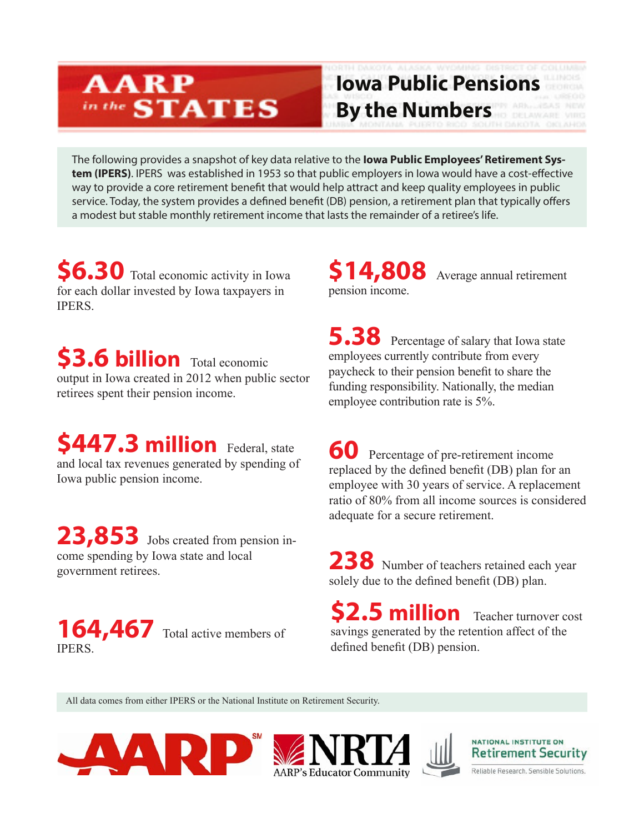## **AARP** in the **STATES**

# **Iowa Public Pensions By the Numbers**

The following provides a snapshot of key data relative to the **Iowa Public Employees' Retirement System (IPERS)**. IPERS was established in 1953 so that public employers in Iowa would have a cost-effective way to provide a core retirement benefit that would help attract and keep quality employees in public service. Today, the system provides a defined benefit (DB) pension, a retirement plan that typically offers a modest but stable monthly retirement income that lasts the remainder of a retiree's life.

**\$6.30** Total economic activity in Iowa for each dollar invested by Iowa taxpayers in **IPERS** 

**\$3.6 billion** Total economic output in Iowa created in 2012 when public sector retirees spent their pension income.

**\$447.3 million** Federal, state and local tax revenues generated by spending of Iowa public pension income.

**23,853** Jobs created from pension income spending by Iowa state and local

164,467 Total active members of **IPERS** 

**\$14,808** Average annual retirement pension income.

**5.38** Percentage of salary that Iowa state employees currently contribute from every paycheck to their pension benefit to share the funding responsibility. Nationally, the median employee contribution rate is 5%.

**60** Percentage of pre-retirement income replaced by the defined benefit (DB) plan for an employee with 30 years of service. A replacement ratio of 80% from all income sources is considered adequate for a secure retirement.

zone spending by Iowa state and local<br>government retirees.<br>**238** Number of teachers retained each year solely due to the defined benefit (DB) plan.

> **\$2.5 million** Teacher turnover cost savings generated by the retention affect of the defined benefit (DB) pension.

All data comes from either IPERS or the National Institute on Retirement Security.







**NATIONAL INSTITUTE ON Retirement Security** 

Reliable Research, Sensible Solutions.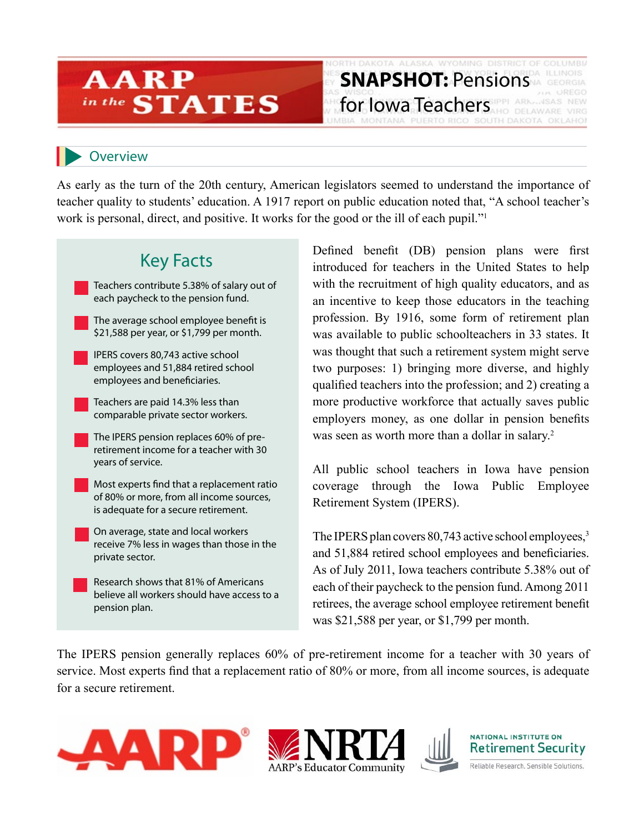### **ARP STATES** in the

#### **Overview**

As early as the turn of the 20th century, American legislators seemed to understand the importance of teacher quality to students' education. A 1917 report on public education noted that, "A school teacher's work is personal, direct, and positive. It works for the good or the ill of each pupil."<sup>1</sup>



Defined benefit (DB) pension plans were first introduced for teachers in the United States to help with the recruitment of high quality educators, and as an incentive to keep those educators in the teaching profession. By 1916, some form of retirement plan was available to public schoolteachers in 33 states. It was thought that such a retirement system might serve two purposes: 1) bringing more diverse, and highly qualified teachers into the profession; and 2) creating a more productive workforce that actually saves public employers money, as one dollar in pension benefits was seen as worth more than a dollar in salary.<sup>2</sup>

**SNAPSHOT:** Pensions

WYOMING DISTRICT OF COLUMBIA

**for Iowa Teachers TREAD ARKLINSAS NEW** 

All public school teachers in Iowa have pension coverage through the Iowa Public Employee Retirement System (IPERS).

The IPERS plan covers  $80,743$  active school employees, $3$ and 51,884 retired school employees and beneficiaries. As of July 2011, Iowa teachers contribute 5.38% out of each of their paycheck to the pension fund. Among 2011 retirees, the average school employee retirement benefit was \$21,588 per year, or \$1,799 per month.

The IPERS pension generally replaces 60% of pre-retirement income for a teacher with 30 years of service. Most experts find that a replacement ratio of 80% or more, from all income sources, is adequate for a secure retirement.







NATIONAL INSTITUTE ON **Retirement Security** 

Reliable Research. Sensible Solutions.